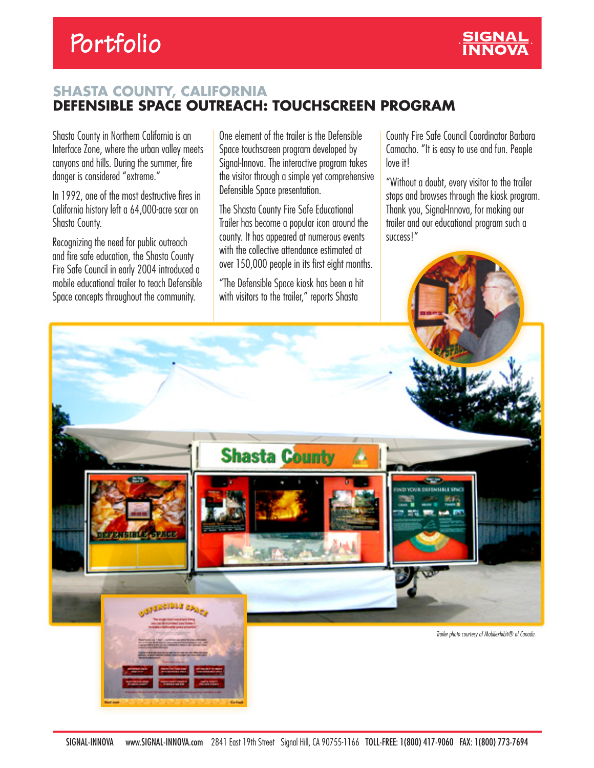

## **SHASTA COUNTY, CALIFORNIA DEFENSIBLE SPACE OUTREACH: TOUCHSCREEN PROGRAM**

Shasta County in Northern California is an Interface Zone, where the urban valley meets canyons and hills. During the summer, fire danger is considered "extreme."

In 1992, one of the most destructive fires in California history left a 64,000-acre scar on Shasta County.

Recognizing the need for public outreach and fire safe education, the Shasta County Fire Safe Council in early 2004 introduced a mobile educational trailer to teach Defensible Space concepts throughout the community.

One element of the trailer is the Defensible Space touchscreen program developed by Signal-Innova. The interactive program takes the visitor through a simple yet comprehensive Defensible Space presentation.

The Shasta County Fire Safe Educational Trailer has become a popular icon around the county. It has appeared at numerous events with the collective attendance estimated at over 150,000 people in its first eight months.

"The Defensible Space kiosk has been a hit with visitors to the trailer," reports Shasta

County Fire Safe Council Coordinator Barbara Camacho. "It is easy to use and fun. People love it!

"Without a doubt, every visitor to the trailer stops and browses through the kiosk program. Thank you, Signal-Innova, for making our trailer and our educational program such a success!"